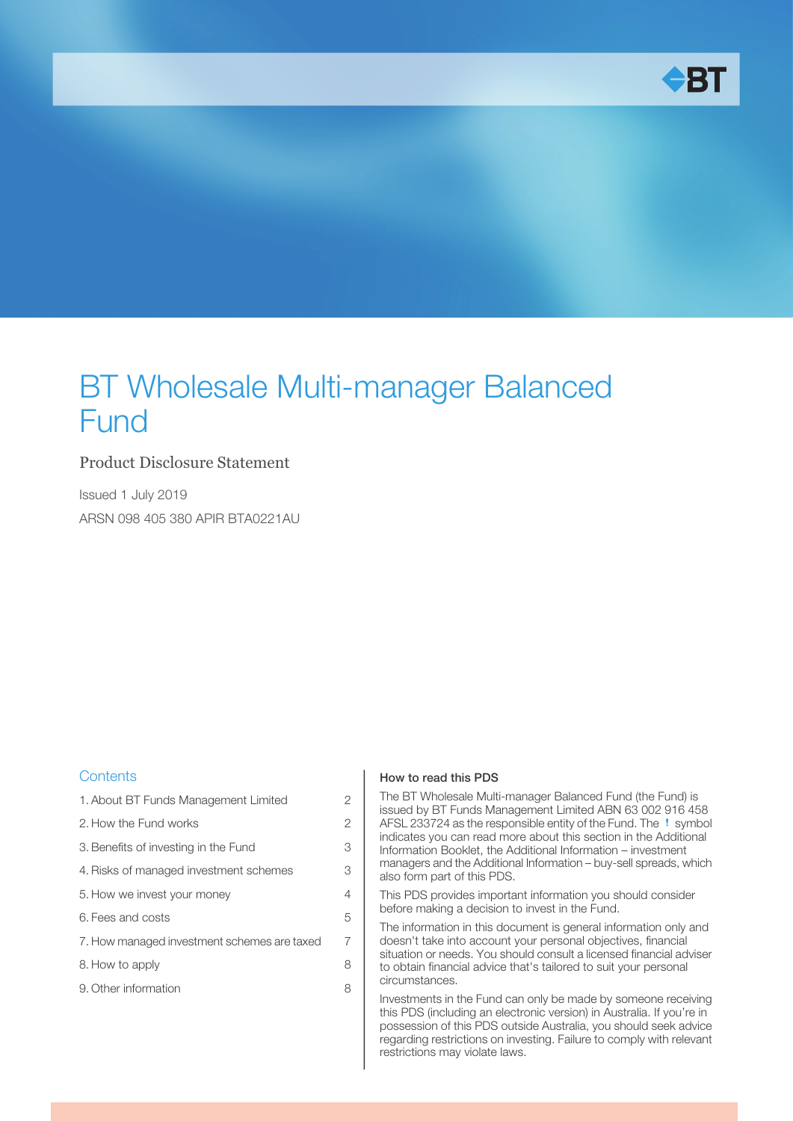

# BT Wholesale Multi-manager Balanced Fund

#### Product Disclosure Statement

Issued 1 July 2019 ARSN 098 405 380 APIR BTA0221AU

#### **Contents**

| 1. About BT Funds Management Limited        | 2              |
|---------------------------------------------|----------------|
| 2. How the Fund works                       | $\overline{c}$ |
| 3. Benefits of investing in the Fund        | 3              |
| 4. Risks of managed investment schemes      | 3              |
| 5. How we invest your money                 | 4              |
| 6. Fees and costs                           | 5              |
| 7. How managed investment schemes are taxed | 7              |
| 8. How to apply                             | 8              |
| 9. Other information                        | 8              |
|                                             |                |

#### How to read this PDS

The BT Wholesale Multi-manager Balanced Fund (the Fund) is issued by BT Funds Management Limited ABN 63 002 916 458 AFSL 233724 as the responsible entity of the Fund. The ! symbol indicates you can read more about this section in the Additional Information Booklet, the Additional Information – investment managers and the Additional Information – buy-sell spreads, which also form part of this PDS.

This PDS provides important information you should consider before making a decision to invest in the Fund.

The information in this document is general information only and doesn't take into account your personal objectives, financial situation or needs. You should consult a licensed financial adviser to obtain financial advice that's tailored to suit your personal circumstances.

Investments in the Fund can only be made by someone receiving this PDS (including an electronic version) in Australia. If you're in possession of this PDS outside Australia, you should seek advice regarding restrictions on investing. Failure to comply with relevant restrictions may violate laws.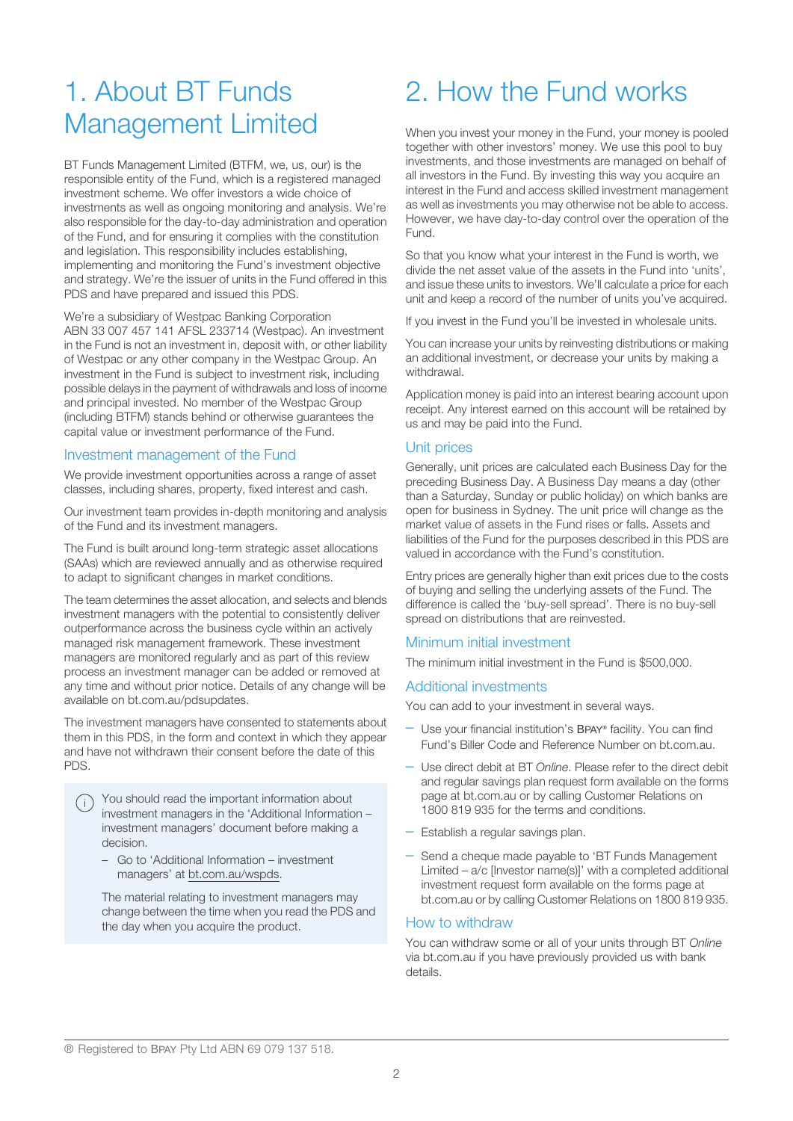## <span id="page-1-0"></span>1. About BT Funds Management Limited

BT Funds Management Limited (BTFM, we, us, our) is the responsible entity of the Fund, which is a registered managed investment scheme. We offer investors a wide choice of investments as well as ongoing monitoring and analysis. We're also responsible for the day-to-day administration and operation of the Fund, and for ensuring it complies with the constitution and legislation. This responsibility includes establishing, implementing and monitoring the Fund's investment objective and strategy. We're the issuer of units in the Fund offered in this PDS and have prepared and issued this PDS.

We're a subsidiary of Westpac Banking Corporation ABN 33 007 457 141 AFSL 233714 (Westpac). An investment in the Fund is not an investment in, deposit with, or other liability of Westpac or any other company in the Westpac Group. An investment in the Fund is subject to investment risk, including possible delays in the payment of withdrawals and loss of income and principal invested. No member of the Westpac Group (including BTFM) stands behind or otherwise guarantees the capital value or investment performance of the Fund.

#### Investment management of the Fund

We provide investment opportunities across a range of asset classes, including shares, property, fixed interest and cash.

Our investment team provides in-depth monitoring and analysis of the Fund and its investment managers.

The Fund is built around long-term strategic asset allocations (SAAs) which are reviewed annually and as otherwise required to adapt to significant changes in market conditions.

The team determines the asset allocation, and selects and blends investment managers with the potential to consistently deliver outperformance across the business cycle within an actively managed risk management framework. These investment managers are monitored regularly and as part of this review process an investment manager can be added or removed at any time and without prior notice. Details of any change will be available on bt.com.au/pdsupdates.

The investment managers have consented to statements about them in this PDS, in the form and context in which they appear and have not withdrawn their consent before the date of this PDS.

You should read the important information about investment managers in the 'Additional Information – investment managers' document before making a decision.

– Go to 'Additional Information – investment managers' at bt.com.au/wspds.

The material relating to investment managers may change between the time when you read the PDS and the day when you acquire the product.

# <span id="page-1-1"></span>2. How the Fund works

When you invest your money in the Fund, your money is pooled together with other investors' money. We use this pool to buy investments, and those investments are managed on behalf of all investors in the Fund. By investing this way you acquire an interest in the Fund and access skilled investment management as well as investments you may otherwise not be able to access. However, we have day-to-day control over the operation of the Fund.

So that you know what your interest in the Fund is worth, we divide the net asset value of the assets in the Fund into 'units', and issue these units to investors. We'll calculate a price for each unit and keep a record of the number of units you've acquired.

If you invest in the Fund you'll be invested in wholesale units.

You can increase your units by reinvesting distributions or making an additional investment, or decrease your units by making a withdrawal.

Application money is paid into an interest bearing account upon receipt. Any interest earned on this account will be retained by us and may be paid into the Fund.

#### Unit prices

Generally, unit prices are calculated each Business Day for the preceding Business Day. A Business Day means a day (other than a Saturday, Sunday or public holiday) on which banks are open for business in Sydney. The unit price will change as the market value of assets in the Fund rises or falls. Assets and liabilities of the Fund for the purposes described in this PDS are valued in accordance with the Fund's constitution.

Entry prices are generally higher than exit prices due to the costs of buying and selling the underlying assets of the Fund. The difference is called the 'buy-sell spread'. There is no buy-sell spread on distributions that are reinvested.

#### Minimum initial investment

The minimum initial investment in the Fund is \$500,000.

#### Additional investments

You can add to your investment in several ways.

- Use your financial institution's BPAY **®** facility. You can find Fund's Biller Code and Reference Number on bt.com.au.
- Use direct debit at BT Online. Please refer to the direct debit and regular savings plan request form available on the forms page at bt.com.au or by calling Customer Relations on 1800 819 935 for the terms and conditions.
- Establish a regular savings plan.
- Send a cheque made payable to 'BT Funds Management Limited – a/c [Investor name(s)]' with a completed additional investment request form available on the forms page at bt.com.au or by calling Customer Relations on 1800 819 935.

#### How to withdraw

You can withdraw some or all of your units through BT Online via bt.com.au if you have previously provided us with bank details.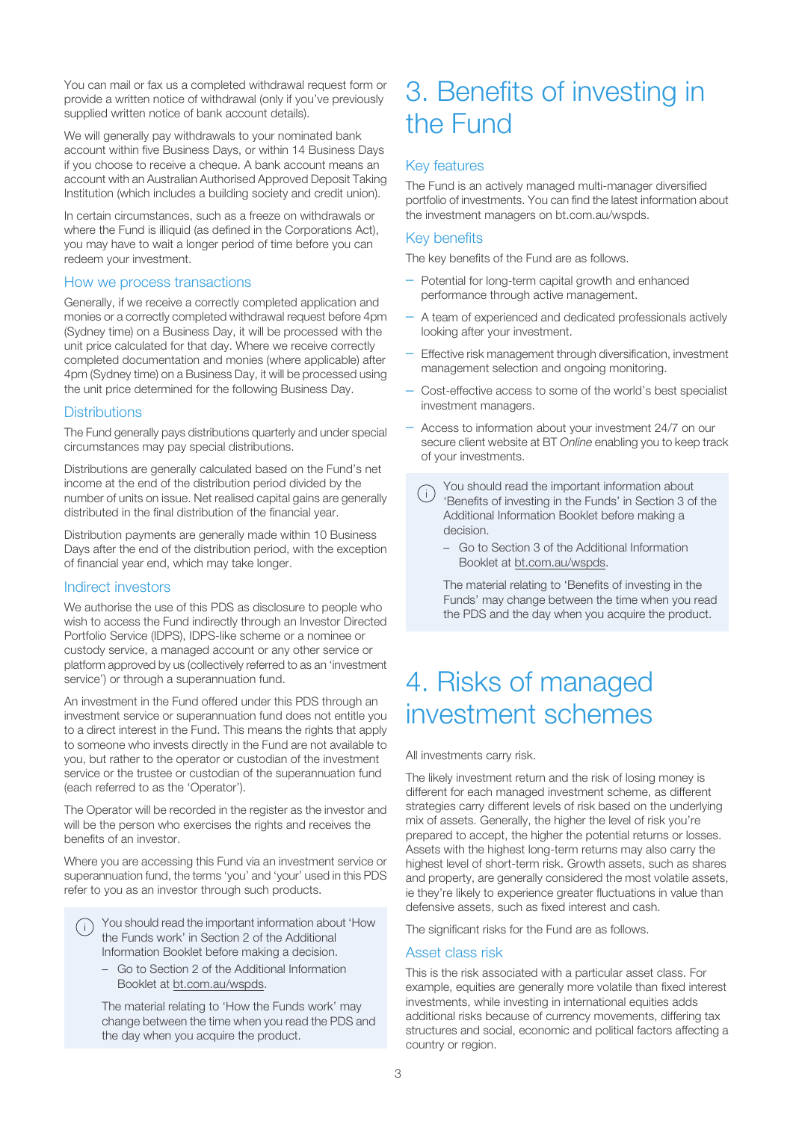You can mail or fax us a completed withdrawal request form or provide a written notice of withdrawal (only if you've previously supplied written notice of bank account details).

We will generally pay withdrawals to your nominated bank account within five Business Days, or within 14 Business Days if you choose to receive a cheque. A bank account means an account with an Australian Authorised Approved Deposit Taking Institution (which includes a building society and credit union).

In certain circumstances, such as a freeze on withdrawals or where the Fund is illiquid (as defined in the Corporations Act), you may have to wait a longer period of time before you can redeem your investment.

#### How we process transactions

Generally, if we receive a correctly completed application and monies or a correctly completed withdrawal request before 4pm (Sydney time) on a Business Day, it will be processed with the unit price calculated for that day. Where we receive correctly completed documentation and monies (where applicable) after 4pm (Sydney time) on a Business Day, it will be processed using the unit price determined for the following Business Day.

#### **Distributions**

The Fund generally pays distributions quarterly and under special circumstances may pay special distributions.

Distributions are generally calculated based on the Fund's net income at the end of the distribution period divided by the number of units on issue. Net realised capital gains are generally distributed in the final distribution of the financial year.

Distribution payments are generally made within 10 Business Days after the end of the distribution period, with the exception of financial year end, which may take longer.

#### Indirect investors

We authorise the use of this PDS as disclosure to people who wish to access the Fund indirectly through an Investor Directed Portfolio Service (IDPS), IDPS-like scheme or a nominee or custody service, a managed account or any other service or platform approved by us (collectively referred to as an 'investment service') or through a superannuation fund.

An investment in the Fund offered under this PDS through an investment service or superannuation fund does not entitle you to a direct interest in the Fund. This means the rights that apply to someone who invests directly in the Fund are not available to you, but rather to the operator or custodian of the investment service or the trustee or custodian of the superannuation fund (each referred to as the 'Operator').

The Operator will be recorded in the register as the investor and will be the person who exercises the rights and receives the benefits of an investor.

Where you are accessing this Fund via an investment service or superannuation fund, the terms 'you' and 'your' used in this PDS refer to you as an investor through such products.

You should read the important information about 'How the Funds work' in Section 2 of the Additional Information Booklet before making a decision.

– Go to Section 2 of the Additional Information Booklet at bt.com.au/wspds.

The material relating to 'How the Funds work' may change between the time when you read the PDS and the day when you acquire the product.

### <span id="page-2-0"></span>3. Benefits of investing in the Fund

#### Key features

The Fund is an actively managed multi-manager diversified portfolio of investments. You can find the latest information about the investment managers on bt.com.au/wspds.

#### Key benefits

The key benefits of the Fund are as follows.

- Potential for long-term capital growth and enhanced performance through active management.
- A team of experienced and dedicated professionals actively looking after your investment.
- Effective risk management through diversification, investment management selection and ongoing monitoring.
- Cost-effective access to some of the world's best specialist investment managers.
- Access to information about your investment 24/7 on our secure client website at BT Online enabling you to keep track of your investments.
	- You should read the important information about  $(i)$ 'Benefits of investing in the Funds' in Section 3 of the Additional Information Booklet before making a decision.
		- Go to Section 3 of the Additional Information Booklet at bt.com.au/wspds.

The material relating to 'Benefits of investing in the Funds' may change between the time when you read the PDS and the day when you acquire the product.

### <span id="page-2-1"></span>4. Risks of managed investment schemes

All investments carry risk.

The likely investment return and the risk of losing money is different for each managed investment scheme, as different strategies carry different levels of risk based on the underlying mix of assets. Generally, the higher the level of risk you're prepared to accept, the higher the potential returns or losses. Assets with the highest long-term returns may also carry the highest level of short-term risk. Growth assets, such as shares and property, are generally considered the most volatile assets, ie they're likely to experience greater fluctuations in value than defensive assets, such as fixed interest and cash.

The significant risks for the Fund are as follows.

#### Asset class risk

This is the risk associated with a particular asset class. For example, equities are generally more volatile than fixed interest investments, while investing in international equities adds additional risks because of currency movements, differing tax structures and social, economic and political factors affecting a country or region.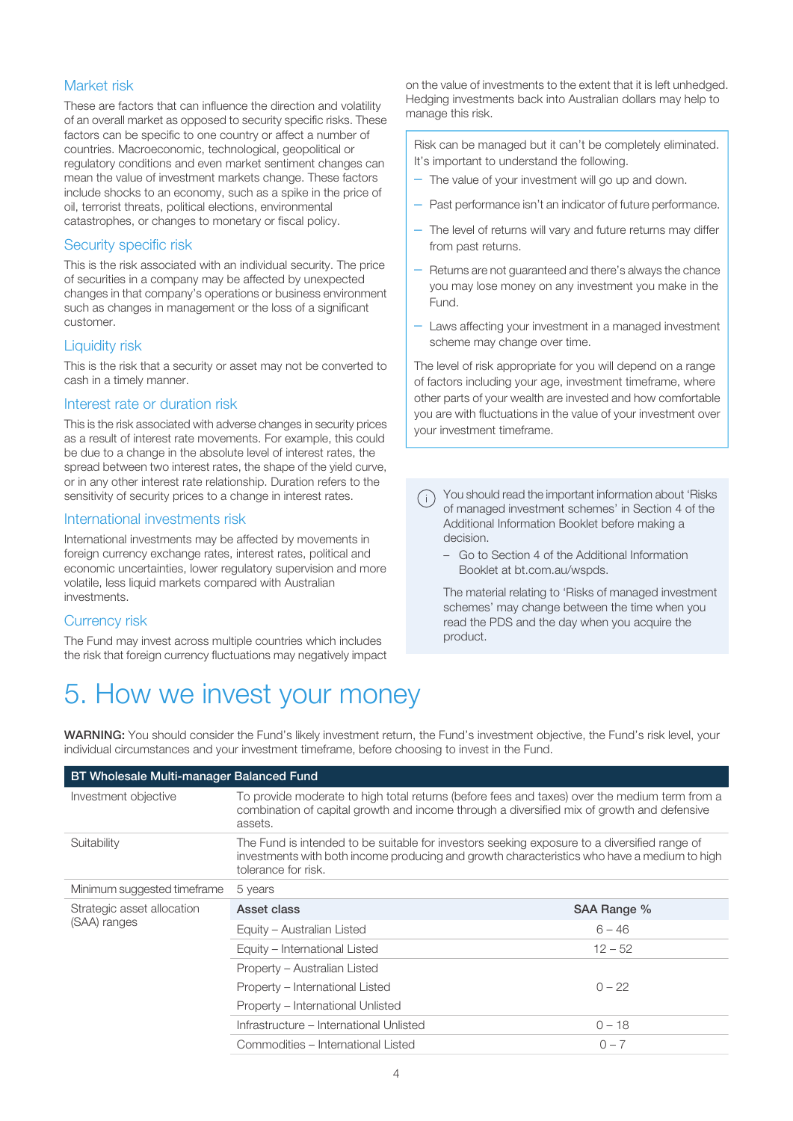#### Market risk

These are factors that can influence the direction and volatility of an overall market as opposed to security specific risks. These factors can be specific to one country or affect a number of countries. Macroeconomic, technological, geopolitical or regulatory conditions and even market sentiment changes can mean the value of investment markets change. These factors include shocks to an economy, such as a spike in the price of oil, terrorist threats, political elections, environmental catastrophes, or changes to monetary or fiscal policy.

#### Security specific risk

This is the risk associated with an individual security. The price of securities in a company may be affected by unexpected changes in that company's operations or business environment such as changes in management or the loss of a significant customer.

#### Liquidity risk

This is the risk that a security or asset may not be converted to cash in a timely manner.

#### Interest rate or duration risk

This is the risk associated with adverse changes in security prices as a result of interest rate movements. For example, this could be due to a change in the absolute level of interest rates, the spread between two interest rates, the shape of the yield curve, or in any other interest rate relationship. Duration refers to the sensitivity of security prices to a change in interest rates.

#### International investments risk

International investments may be affected by movements in foreign currency exchange rates, interest rates, political and economic uncertainties, lower regulatory supervision and more volatile, less liquid markets compared with Australian investments.

#### <span id="page-3-0"></span>Currency risk

The Fund may invest across multiple countries which includes the risk that foreign currency fluctuations may negatively impact

### 5. How we invest your money

on the value of investments to the extent that it is left unhedged. Hedging investments back into Australian dollars may help to manage this risk.

Risk can be managed but it can't be completely eliminated. It's important to understand the following.

- The value of your investment will go up and down.
- Past performance isn't an indicator of future performance.
- The level of returns will vary and future returns may differ from past returns.
- Returns are not guaranteed and there's always the chance you may lose money on any investment you make in the Fund.
- Laws affecting your investment in a managed investment scheme may change over time.

The level of risk appropriate for you will depend on a range of factors including your age, investment timeframe, where other parts of your wealth are invested and how comfortable you are with fluctuations in the value of your investment over your investment timeframe.

You should read the important information about 'Risks of managed investment schemes' in Section 4 of the Additional Information Booklet before making a decision.

– Go to Section 4 of the Additional Information Booklet at bt.com.au/wspds.

The material relating to 'Risks of managed investment schemes' may change between the time when you read the PDS and the day when you acquire the product.

WARNING: You should consider the Fund's likely investment return, the Fund's investment objective, the Fund's risk level, your individual circumstances and your investment timeframe, before choosing to invest in the Fund.

| <b>BT Wholesale Multi-manager Balanced Fund</b> |                                                                                                                                                                                                                    |             |  |
|-------------------------------------------------|--------------------------------------------------------------------------------------------------------------------------------------------------------------------------------------------------------------------|-------------|--|
| Investment objective                            | To provide moderate to high total returns (before fees and taxes) over the medium term from a<br>combination of capital growth and income through a diversified mix of growth and defensive<br>assets.             |             |  |
| Suitability                                     | The Fund is intended to be suitable for investors seeking exposure to a diversified range of<br>investments with both income producing and growth characteristics who have a medium to high<br>tolerance for risk. |             |  |
| Minimum suggested timeframe                     | 5 years                                                                                                                                                                                                            |             |  |
| Strategic asset allocation<br>(SAA) ranges      | Asset class                                                                                                                                                                                                        | SAA Range % |  |
|                                                 | Equity - Australian Listed                                                                                                                                                                                         | $6 - 46$    |  |
|                                                 | Equity - International Listed                                                                                                                                                                                      | $12 - 52$   |  |
|                                                 | Property – Australian Listed                                                                                                                                                                                       |             |  |
|                                                 | Property – International Listed                                                                                                                                                                                    | $0 - 22$    |  |
|                                                 | Property – International Unlisted                                                                                                                                                                                  |             |  |
|                                                 | Infrastructure – International Unlisted                                                                                                                                                                            | $0 - 18$    |  |
|                                                 | Commodities – International Listed                                                                                                                                                                                 | $0 - 7$     |  |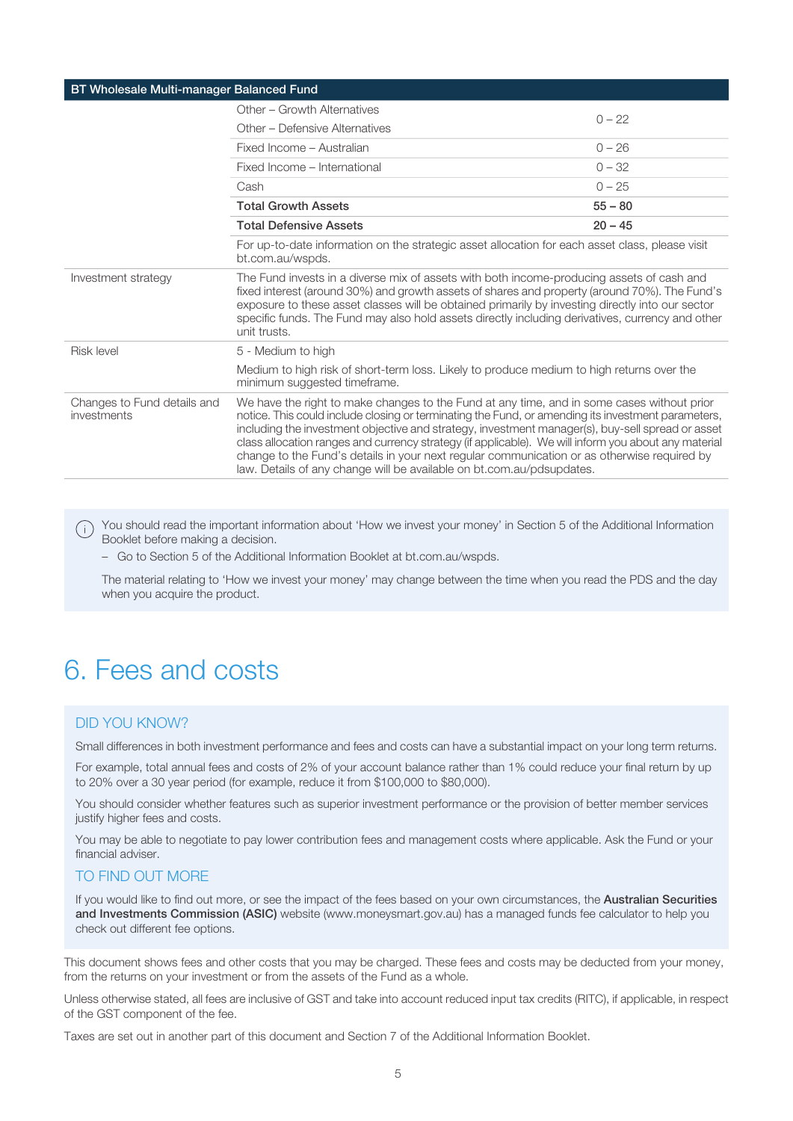| BT Wholesale Multi-manager Balanced Fund   |                                                                                                                                                                                                                                                                                                                                                                                                                                                                                                                                                                                      |           |  |
|--------------------------------------------|--------------------------------------------------------------------------------------------------------------------------------------------------------------------------------------------------------------------------------------------------------------------------------------------------------------------------------------------------------------------------------------------------------------------------------------------------------------------------------------------------------------------------------------------------------------------------------------|-----------|--|
|                                            | Other - Growth Alternatives                                                                                                                                                                                                                                                                                                                                                                                                                                                                                                                                                          | $0 - 22$  |  |
|                                            | Other - Defensive Alternatives                                                                                                                                                                                                                                                                                                                                                                                                                                                                                                                                                       |           |  |
|                                            | Fixed Income - Australian                                                                                                                                                                                                                                                                                                                                                                                                                                                                                                                                                            | $0 - 26$  |  |
|                                            | Fixed Income - International                                                                                                                                                                                                                                                                                                                                                                                                                                                                                                                                                         | $0 - 32$  |  |
|                                            | Cash                                                                                                                                                                                                                                                                                                                                                                                                                                                                                                                                                                                 | $0 - 25$  |  |
|                                            | <b>Total Growth Assets</b>                                                                                                                                                                                                                                                                                                                                                                                                                                                                                                                                                           | $55 - 80$ |  |
|                                            | <b>Total Defensive Assets</b>                                                                                                                                                                                                                                                                                                                                                                                                                                                                                                                                                        | $20 - 45$ |  |
|                                            | For up-to-date information on the strategic asset allocation for each asset class, please visit<br>bt.com.au/wspds.                                                                                                                                                                                                                                                                                                                                                                                                                                                                  |           |  |
| Investment strategy                        | The Fund invests in a diverse mix of assets with both income-producing assets of cash and<br>fixed interest (around 30%) and growth assets of shares and property (around 70%). The Fund's<br>exposure to these asset classes will be obtained primarily by investing directly into our sector<br>specific funds. The Fund may also hold assets directly including derivatives, currency and other<br>unit trusts.                                                                                                                                                                   |           |  |
| Risk level                                 | 5 - Medium to high                                                                                                                                                                                                                                                                                                                                                                                                                                                                                                                                                                   |           |  |
|                                            | Medium to high risk of short-term loss. Likely to produce medium to high returns over the<br>minimum suggested timeframe.                                                                                                                                                                                                                                                                                                                                                                                                                                                            |           |  |
| Changes to Fund details and<br>investments | We have the right to make changes to the Fund at any time, and in some cases without prior<br>notice. This could include closing or terminating the Fund, or amending its investment parameters,<br>including the investment objective and strategy, investment manager(s), buy-sell spread or asset<br>class allocation ranges and currency strategy (if applicable). We will inform you about any material<br>change to the Fund's details in your next regular communication or as otherwise required by<br>law. Details of any change will be available on bt.com.au/pdsupdates. |           |  |

(i) You should read the important information about 'How we invest your money' in Section 5 of the Additional Information Booklet before making a decision.

– Go to Section 5 of the Additional Information Booklet at bt.com.au/wspds.

<span id="page-4-0"></span>The material relating to 'How we invest your money' may change between the time when you read the PDS and the day when you acquire the product.

## 6. Fees and costs

#### DID YOU KNOW?

Small differences in both investment performance and fees and costs can have a substantial impact on your long term returns.

For example, total annual fees and costs of 2% of your account balance rather than 1% could reduce your final return by up to 20% over a 30 year period (for example, reduce it from \$100,000 to \$80,000).

You should consider whether features such as superior investment performance or the provision of better member services justify higher fees and costs.

You may be able to negotiate to pay lower contribution fees and management costs where applicable. Ask the Fund or your financial adviser.

#### TO FIND OUT MORE

If you would like to find out more, or see the impact of the fees based on your own circumstances, the **Australian Securities** and Investments Commission (ASIC) website (www.moneysmart.gov.au) has a managed funds fee calculator to help you check out different fee options.

This document shows fees and other costs that you may be charged. These fees and costs may be deducted from your money, from the returns on your investment or from the assets of the Fund as a whole.

Unless otherwise stated, all fees are inclusive of GST and take into account reduced input tax credits (RITC), if applicable, in respect of the GST component of the fee.

Taxes are set out in another part of this document and Section 7 of the Additional Information Booklet.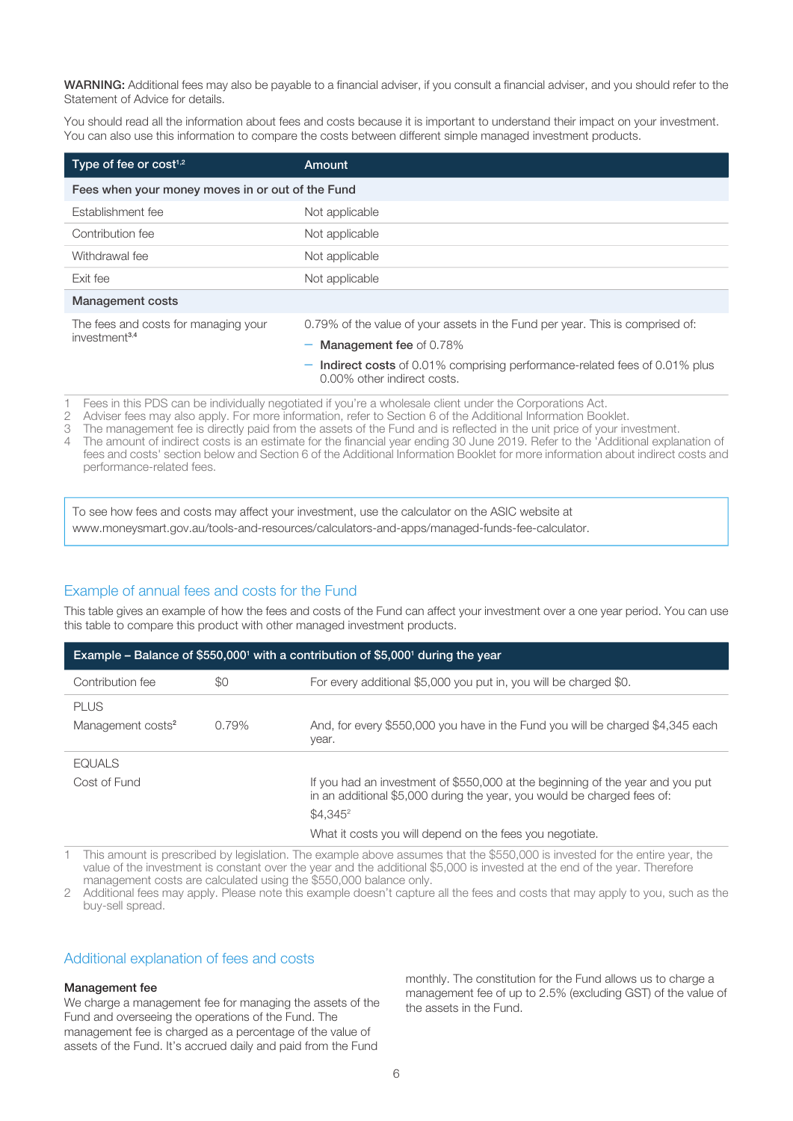WARNING: Additional fees may also be payable to a financial adviser, if you consult a financial adviser, and you should refer to the Statement of Advice for details.

You should read all the information about fees and costs because it is important to understand their impact on your investment. You can also use this information to compare the costs between different simple managed investment products.

| Type of fee or $cost1,2$                         | Amount                                                                                                          |  |
|--------------------------------------------------|-----------------------------------------------------------------------------------------------------------------|--|
| Fees when your money moves in or out of the Fund |                                                                                                                 |  |
| Establishment fee                                | Not applicable                                                                                                  |  |
| Contribution fee                                 | Not applicable                                                                                                  |  |
| Withdrawal fee                                   | Not applicable                                                                                                  |  |
| Exit fee                                         | Not applicable                                                                                                  |  |
| <b>Management costs</b>                          |                                                                                                                 |  |
| The fees and costs for managing your             | 0.79% of the value of your assets in the Fund per year. This is comprised of:                                   |  |
| investment <sup>3,4</sup>                        | <b>Management fee of 0.78%</b>                                                                                  |  |
|                                                  | <b>Indirect costs</b> of 0.01% comprising performance-related fees of 0.01% plus<br>0.00% other indirect costs. |  |

1 Fees in this PDS can be individually negotiated if you're a wholesale client under the Corporations Act.<br>2 Adviser fees may also apply. For more information, refer to Section 6 of the Additional Information Boo

2 Adviser fees may also apply. For more information, refer to Section 6 of the Additional Information Booklet.

The management fee is directly paid from the assets of the Fund and is reflected in the unit price of your investment.

4 The amount of indirect costs is an estimate for the financial year ending 30 June 2019. Refer to the 'Additional explanation of fees and costs' section below and Section 6 of the Additional Information Booklet for more information about indirect costs and performance-related fees.

To see how fees and costs may affect your investment, use the calculator on the ASIC website at www.moneysmart.gov.au/tools-and-resources/calculators-and-apps/managed-funds-fee-calculator.

#### Example of annual fees and costs for the Fund

This table gives an example of how the fees and costs of the Fund can affect your investment over a one year period. You can use this table to compare this product with other managed investment products.

| Example – Balance of \$550,000 <sup>1</sup> with a contribution of \$5,000 <sup>1</sup> during the year |       |                                                                                                                                                           |  |
|---------------------------------------------------------------------------------------------------------|-------|-----------------------------------------------------------------------------------------------------------------------------------------------------------|--|
| Contribution fee                                                                                        | \$0   | For every additional \$5,000 you put in, you will be charged \$0.                                                                                         |  |
| <b>PLUS</b>                                                                                             |       |                                                                                                                                                           |  |
| Management costs <sup>2</sup>                                                                           | 0.79% | And, for every \$550,000 you have in the Fund you will be charged \$4,345 each<br>year.                                                                   |  |
| <b>EQUALS</b>                                                                                           |       |                                                                                                                                                           |  |
| Cost of Fund                                                                                            |       | If you had an investment of \$550,000 at the beginning of the year and you put<br>in an additional \$5,000 during the year, you would be charged fees of: |  |
|                                                                                                         |       | $$4.345^2$                                                                                                                                                |  |
|                                                                                                         |       | What it costs you will depend on the fees you negotiate.                                                                                                  |  |

1 This amount is prescribed by legislation. The example above assumes that the \$550,000 is invested for the entire year, the value of the investment is constant over the year and the additional \$5,000 is invested at the end of the year. Therefore management costs are calculated using the \$550,000 balance only.

2 Additional fees may apply. Please note this example doesn't capture all the fees and costs that may apply to you, such as the buy-sell spread.

#### Additional explanation of fees and costs

#### Management fee

We charge a management fee for managing the assets of the Fund and overseeing the operations of the Fund. The management fee is charged as a percentage of the value of assets of the Fund. It's accrued daily and paid from the Fund

monthly. The constitution for the Fund allows us to charge a management fee of up to 2.5% (excluding GST) of the value of the assets in the Fund.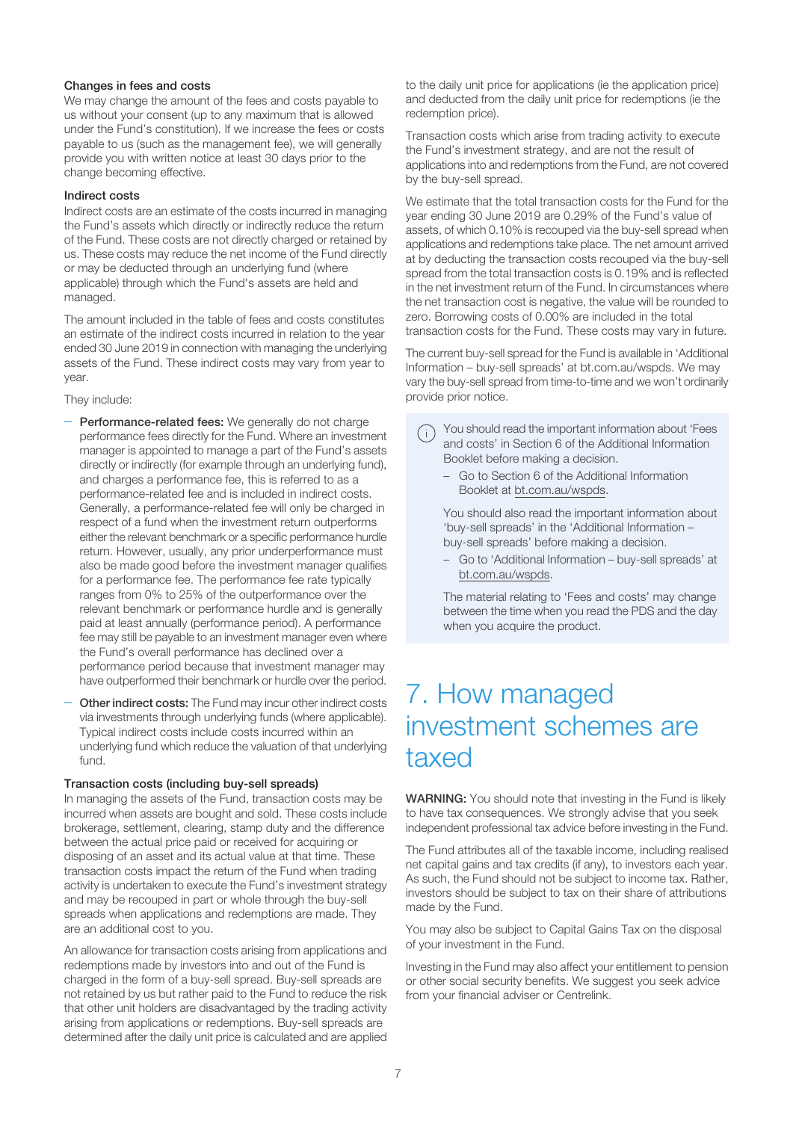#### Changes in fees and costs

We may change the amount of the fees and costs payable to us without your consent (up to any maximum that is allowed under the Fund's constitution). If we increase the fees or costs payable to us (such as the management fee), we will generally provide you with written notice at least 30 days prior to the change becoming effective.

#### Indirect costs

Indirect costs are an estimate of the costs incurred in managing the Fund's assets which directly or indirectly reduce the return of the Fund. These costs are not directly charged or retained by us. These costs may reduce the net income of the Fund directly or may be deducted through an underlying fund (where applicable) through which the Fund's assets are held and managed.

The amount included in the table of fees and costs constitutes an estimate of the indirect costs incurred in relation to the year ended 30 June 2019 in connection with managing the underlying assets of the Fund. These indirect costs may vary from year to year.

They include:

- Performance-related fees: We generally do not charge performance fees directly for the Fund. Where an investment manager is appointed to manage a part of the Fund's assets directly or indirectly (for example through an underlying fund), and charges a performance fee, this is referred to as a performance-related fee and is included in indirect costs. Generally, a performance-related fee will only be charged in respect of a fund when the investment return outperforms either the relevant benchmark or a specific performance hurdle return. However, usually, any prior underperformance must also be made good before the investment manager qualifies for a performance fee. The performance fee rate typically ranges from 0% to 25% of the outperformance over the relevant benchmark or performance hurdle and is generally paid at least annually (performance period). A performance fee may still be payable to an investment manager even where the Fund's overall performance has declined over a performance period because that investment manager may have outperformed their benchmark or hurdle over the period.
- Other indirect costs: The Fund may incur other indirect costs via investments through underlying funds (where applicable). Typical indirect costs include costs incurred within an underlying fund which reduce the valuation of that underlying fund.

#### Transaction costs (including buy-sell spreads)

In managing the assets of the Fund, transaction costs may be incurred when assets are bought and sold. These costs include brokerage, settlement, clearing, stamp duty and the difference between the actual price paid or received for acquiring or disposing of an asset and its actual value at that time. These transaction costs impact the return of the Fund when trading activity is undertaken to execute the Fund's investment strategy and may be recouped in part or whole through the buy-sell spreads when applications and redemptions are made. They are an additional cost to you.

An allowance for transaction costs arising from applications and redemptions made by investors into and out of the Fund is charged in the form of a buy-sell spread. Buy-sell spreads are not retained by us but rather paid to the Fund to reduce the risk that other unit holders are disadvantaged by the trading activity arising from applications or redemptions. Buy-sell spreads are determined after the daily unit price is calculated and are applied to the daily unit price for applications (ie the application price) and deducted from the daily unit price for redemptions (ie the redemption price).

Transaction costs which arise from trading activity to execute the Fund's investment strategy, and are not the result of applications into and redemptions from the Fund, are not covered by the buy-sell spread.

We estimate that the total transaction costs for the Fund for the year ending 30 June 2019 are 0.29% of the Fund's value of assets, of which 0.10% is recouped via the buy-sell spread when applications and redemptions take place. The net amount arrived at by deducting the transaction costs recouped via the buy-sell spread from the total transaction costs is 0.19% and is reflected in the net investment return of the Fund. In circumstances where the net transaction cost is negative, the value will be rounded to zero. Borrowing costs of 0.00% are included in the total transaction costs for the Fund. These costs may vary in future.

The current buy-sell spread for the Fund is available in 'Additional Information – buy-sell spreads' at bt.com.au/wspds. We may vary the buy-sell spread from time-to-time and we won't ordinarily provide prior notice.

- You should read the important information about 'Fees and costs' in Section 6 of the Additional Information Booklet before making a decision.
	- Go to Section 6 of the Additional Information Booklet at bt.com.au/wspds.

You should also read the important information about 'buy-sell spreads' in the 'Additional Information – buy-sell spreads' before making a decision.

– Go to 'Additional Information – buy-sell spreads' at bt.com.au/wspds.

The material relating to 'Fees and costs' may change between the time when you read the PDS and the day when you acquire the product.

### <span id="page-6-0"></span>7. How managed investment schemes are taxed

WARNING: You should note that investing in the Fund is likely to have tax consequences. We strongly advise that you seek independent professional tax advice before investing in the Fund.

The Fund attributes all of the taxable income, including realised net capital gains and tax credits (if any), to investors each year. As such, the Fund should not be subject to income tax. Rather, investors should be subject to tax on their share of attributions made by the Fund.

You may also be subject to Capital Gains Tax on the disposal of your investment in the Fund.

Investing in the Fund may also affect your entitlement to pension or other social security benefits. We suggest you seek advice from your financial adviser or Centrelink.